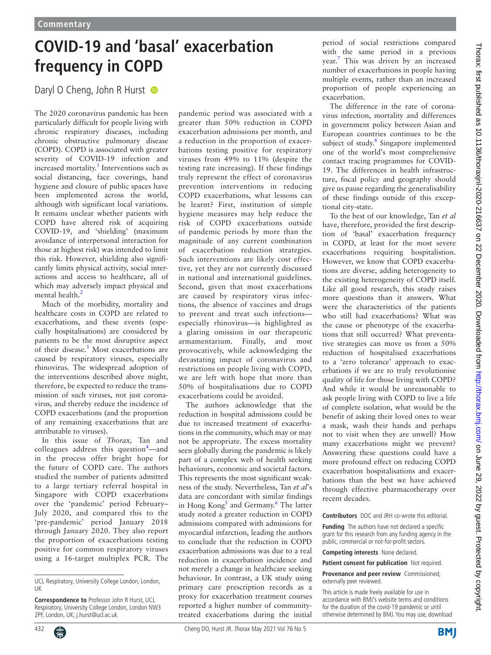## **COVID-19 and 'basal' exacerbation frequency in COPD**

Daryl O Cheng, John R Hurst

The 2020 coronavirus pandemic has been particularly difficult for people living with chronic respiratory diseases, including chronic obstructive pulmonary disease (COPD). COPD is associated with greater severity of COVID-19 infection and increased mortality.<sup>[1](#page-1-0)</sup> Interventions such as social distancing, face coverings, hand hygiene and closure of public spaces have been implemented across the world, although with significant local variations. It remains unclear whether patients with COPD have altered risk of acquiring COVID-19, and 'shielding' (maximum avoidance of interpersonal interaction for those at highest risk) was intended to limit this risk. However, shielding also significantly limits physical activity, social interactions and access to healthcare, all of which may adversely impact physical and mental health.<sup>2</sup>

Much of the morbidity, mortality and healthcare costs in COPD are related to exacerbations, and these events (especially hospitalisations) are considered by patients to be the most disruptive aspect of their disease.<sup>[3](#page-1-2)</sup> Most exacerbations are caused by respiratory viruses, especially rhinovirus. The widespread adoption of the interventions described above might, therefore, be expected to reduce the transmission of such viruses, not just coronavirus, and thereby reduce the incidence of COPD exacerbations (and the proportion of any remaining exacerbations that are attributable to viruses).

In this issue of *Thorax,* Tan and colleagues address this question $4$ —and in the process offer bright hope for the future of COPD care. The authors studied the number of patients admitted to a large tertiary referral hospital in Singapore with COPD exacerbations over the 'pandemic' period February– July 2020, and compared this to the 'pre-pandemic' period January 2018 through January 2020. They also report the proportion of exacerbations testing positive for common respiratory viruses using a 16-target multiplex PCR. The

pandemic period was associated with a greater than 50% reduction in COPD exacerbation admissions per month, and a reduction in the proportion of exacerbations testing positive for respiratory viruses from 49% to 11% (despite the testing rate increasing). If these findings truly represent the effect of coronavirus prevention interventions in reducing COPD exacerbations, what lessons can be learnt? First, institution of simple hygiene measures may help reduce the risk of COPD exacerbations outside of pandemic periods by more than the magnitude of any current combination of exacerbation reduction strategies. Such interventions are likely cost effective, yet they are not currently discussed in national and international guidelines. Second, given that most exacerbations are caused by respiratory virus infections, the absence of vaccines and drugs to prevent and treat such infections especially rhinovirus—is highlighted as a glaring omission in our therapeutic armamentarium. Finally, and most provocatively, while acknowledging the devastating impact of coronavirus and restrictions on people living with COPD, we are left with hope that more than 50% of hospitalisations due to COPD exacerbations could be avoided.

The authors acknowledge that the reduction in hospital admissions could be due to increased treatment of exacerbations in the community, which may or may not be appropriate. The excess mortality seen globally during the pandemic is likely part of a complex web of health seeking behaviours, economic and societal factors. This represents the most significant weakness of the study. Nevertheless, Tan *et al*'s data are concordant with similar findings in Hong Kong<sup>[5](#page-1-4)</sup> and Germany.<sup>[6](#page-1-5)</sup> The latter study noted a greater reduction in COPD admissions compared with admissions for myocardial infarction, leading the authors to conclude that the reduction in COPD exacerbation admissions was due to a real reduction in exacerbation incidence and not merely a change in healthcare seeking behaviour. In contrast, a UK study using primary care prescription records as a proxy for exacerbation treatment courses reported a higher number of communitytreated exacerbations during the initial

period of social restrictions compared with the same period in a previous year.<sup>[7](#page-1-6)</sup> This was driven by an increased number of exacerbations in people having multiple events, rather than an increased proportion of people experiencing an exacerbation.

The difference in the rate of coronavirus infection, mortality and differences in government policy between Asian and European countries continues to be the subject of study.<sup>[8](#page-1-7)</sup> Singapore implemented one of the world's most comprehensive contact tracing programmes for COVID-19. The differences in health infrastructure, fiscal policy and geography should give us pause regarding the generalisability of these findings outside of this exceptional city-state.

To the best of our knowledge, Tan *et al* have, therefore, provided the first description of 'basal' exacerbation frequency in COPD, at least for the most severe exacerbations requiring hospitalistion. However, we know that COPD exacerbations are diverse, adding heterogeneity to the existing heterogeneity of COPD itself. Like all good research, this study raises more questions than it answers. What were the characteristics of the patients who still had exacerbations? What was the cause or phenotype of the exacerbations that still occurred? What preventative strategies can move us from a 50% reduction of hospitalised exacerbations to a 'zero tolerance' approach to exacerbations if we are to truly revolutionise quality of life for those living with COPD? And while it would be unreasonable to ask people living with COPD to live a life of complete isolation, what would be the benefit of asking their loved ones to wear a mask, wash their hands and perhaps not to visit when they are unwell? How many exacerbations might we prevent? Answering these questions could have a more profound effect on reducing COPD exacerbation hospitalisations and exacerbations than the best we have achieved through effective pharmacotherapy over recent decades.

**Contributors** DOC and JRH co-wrote this editorial.

**Funding** The authors have not declared a specific grant for this research from any funding agency in the public, commercial or not-for-profit sectors.

**Competing interests** None declared.

This article is made freely available for use in accordance with BMJ's website terms and conditions for the duration of the covid-19 pandemic or until otherwise determined by BMJ. You may use, download

UCL Respiratory, University College London, London,  $|$ 

**Correspondence to** Professor John R Hurst, UCL Respiratory, University College London, London NW3 2PF, London, UK; j.hurst@ucl.ac.uk

**Patient consent for publication** Not required.

**Provenance and peer review** Commissioned; externally peer reviewed.